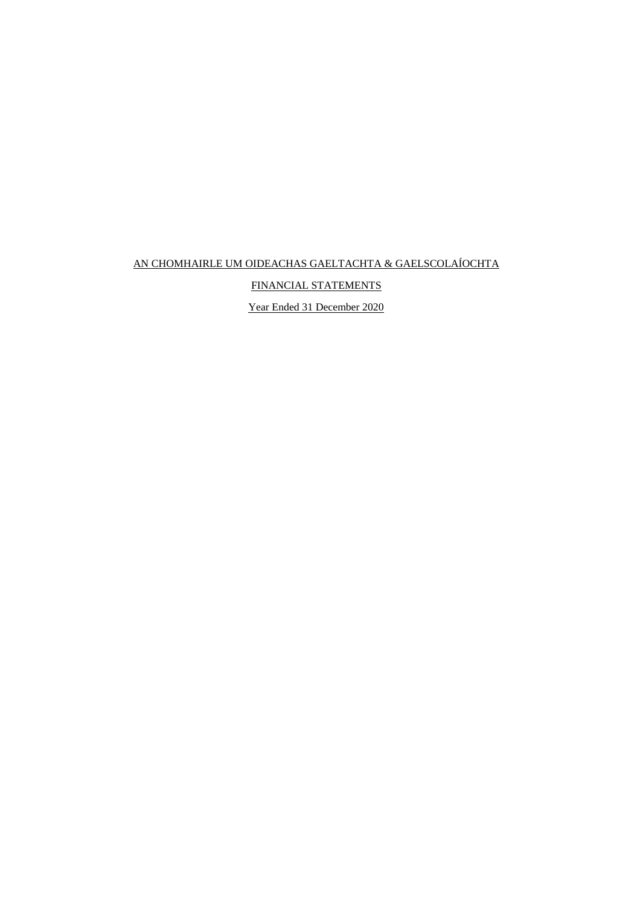FINANCIAL STATEMENTS

Year Ended 31 December 2020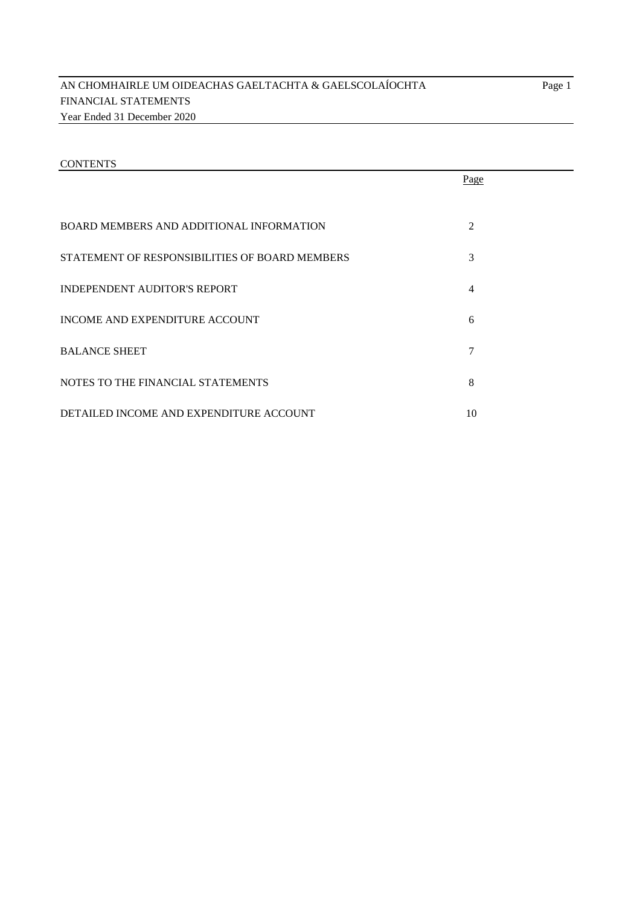|                                                | Page           |  |
|------------------------------------------------|----------------|--|
| BOARD MEMBERS AND ADDITIONAL INFORMATION       | $\overline{2}$ |  |
| STATEMENT OF RESPONSIBILITIES OF BOARD MEMBERS | 3              |  |
| INDEPENDENT AUDITOR'S REPORT                   | 4              |  |
| INCOME AND EXPENDITURE ACCOUNT                 | 6              |  |
| <b>BALANCE SHEET</b>                           | 7              |  |
| NOTES TO THE FINANCIAL STATEMENTS              | 8              |  |
| DETAILED INCOME AND EXPENDITURE ACCOUNT        | 10             |  |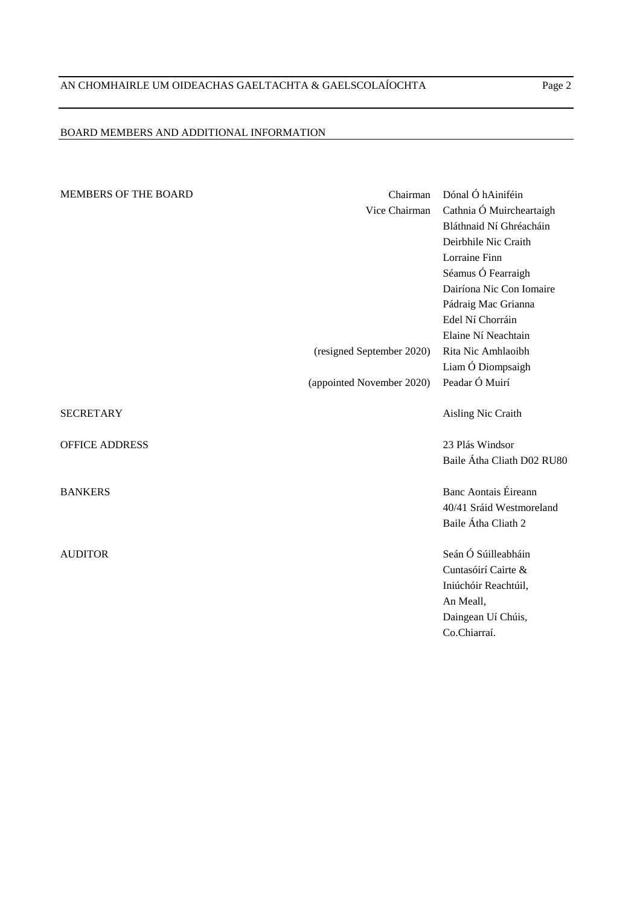# BOARD MEMBERS AND ADDITIONAL INFORMATION

| <b>MEMBERS OF THE BOARD</b> | Chairman                  | Dónal Ó hAiniféin           |
|-----------------------------|---------------------------|-----------------------------|
|                             | Vice Chairman             | Cathnia Ó Muircheartaigh    |
|                             |                           | Bláthnaid Ní Ghréacháin     |
|                             |                           | Deirbhile Nic Craith        |
|                             |                           | Lorraine Finn               |
|                             |                           | Séamus Ó Fearraigh          |
|                             |                           | Dairíona Nic Con Iomaire    |
|                             |                           | Pádraig Mac Grianna         |
|                             |                           | Edel Ní Chorráin            |
|                             |                           | Elaine Ní Neachtain         |
|                             | (resigned September 2020) | Rita Nic Amhlaoibh          |
|                             |                           | Liam Ó Diompsaigh           |
|                             | (appointed November 2020) | Peadar Ó Muirí              |
| <b>SECRETARY</b>            |                           | Aisling Nic Craith          |
| <b>OFFICE ADDRESS</b>       |                           | 23 Plás Windsor             |
|                             |                           | Baile Átha Cliath D02 RU80  |
| <b>BANKERS</b>              |                           | <b>Banc Aontais Éireann</b> |
|                             |                           | 40/41 Sráid Westmoreland    |
|                             |                           | Baile Átha Cliath 2         |
| <b>AUDITOR</b>              |                           | Seán Ó Súilleabháin         |
|                             |                           | Cuntasóirí Cairte &         |
|                             |                           | Iniúchóir Reachtúil,        |
|                             |                           | An Meall,                   |
|                             |                           | Daingean Uí Chúis,          |
|                             |                           | Co.Chiarraí.                |
|                             |                           |                             |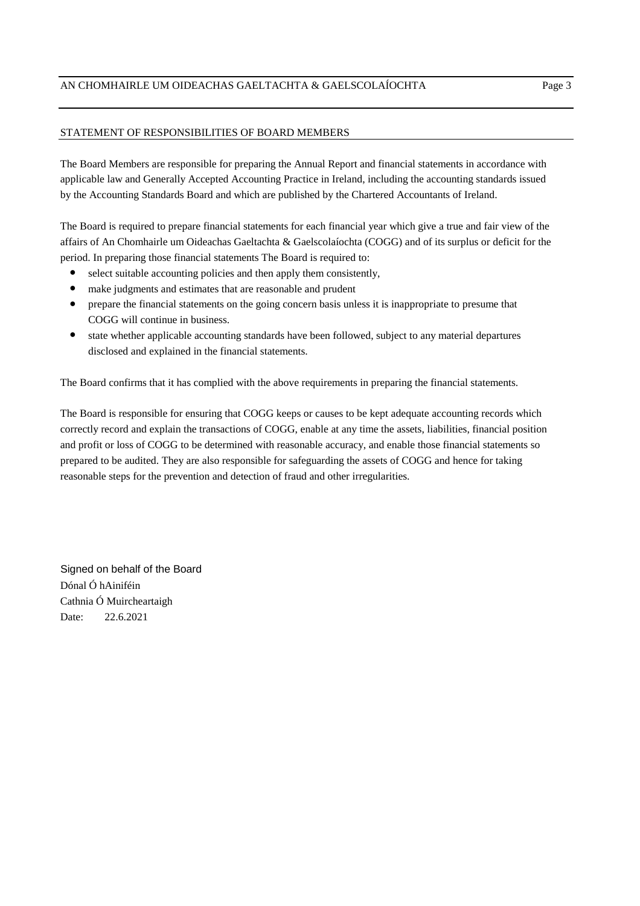# STATEMENT OF RESPONSIBILITIES OF BOARD MEMBERS

The Board Members are responsible for preparing the Annual Report and financial statements in accordance with applicable law and Generally Accepted Accounting Practice in Ireland, including the accounting standards issued by the Accounting Standards Board and which are published by the Chartered Accountants of Ireland.

The Board is required to prepare financial statements for each financial year which give a true and fair view of the affairs of An Chomhairle um Oideachas Gaeltachta & Gaelscolaíochta (COGG) and of its surplus or deficit for the period. In preparing those financial statements The Board is required to:

- **●** select suitable accounting policies and then apply them consistently,
- make judgments and estimates that are reasonable and prudent
- **●** prepare the financial statements on the going concern basis unless it is inappropriate to presume that COGG will continue in business.
- **●** state whether applicable accounting standards have been followed, subject to any material departures disclosed and explained in the financial statements.

The Board confirms that it has complied with the above requirements in preparing the financial statements.

The Board is responsible for ensuring that COGG keeps or causes to be kept adequate accounting records which correctly record and explain the transactions of COGG, enable at any time the assets, liabilities, financial position and profit or loss of COGG to be determined with reasonable accuracy, and enable those financial statements so prepared to be audited. They are also responsible for safeguarding the assets of COGG and hence for taking reasonable steps for the prevention and detection of fraud and other irregularities.

Signed on behalf of the Board Dónal Ó hAiniféin Cathnia Ó Muircheartaigh Date: 22.6.2021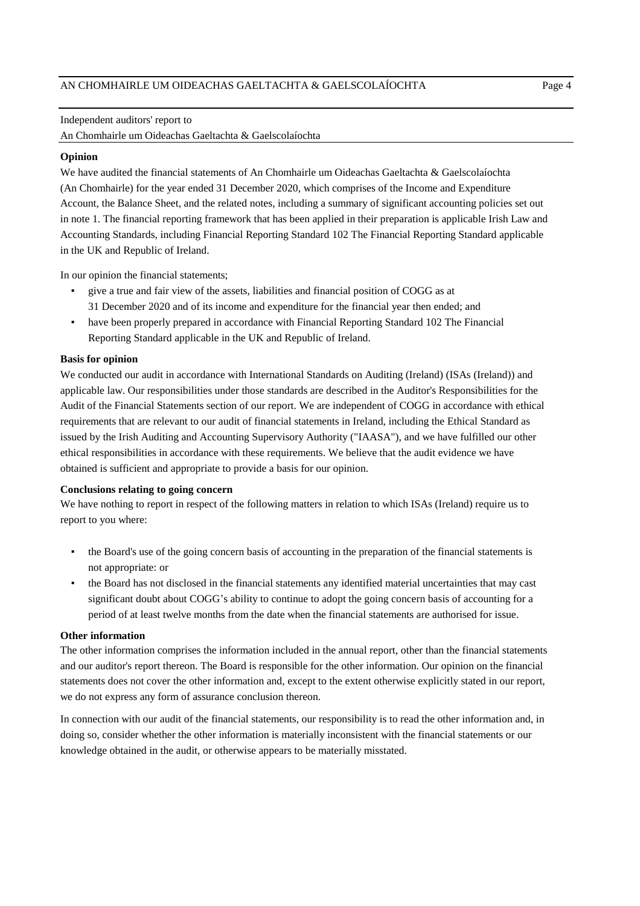#### Independent auditors' report to

An Chomhairle um Oideachas Gaeltachta & Gaelscolaíochta

#### **Opinion**

We have audited the financial statements of An Chomhairle um Oideachas Gaeltachta & Gaelscolaíochta Account, the Balance Sheet, and the related notes, including a summary of significant accounting policies set out in note 1. The financial reporting framework that has been applied in their preparation is applicable Irish Law and Accounting Standards, including Financial Reporting Standard 102 The Financial Reporting Standard applicable in the UK and Republic of Ireland. (An Chomhairle) for the year ended 31 December 2020, which comprises of the Income and Expenditure

In our opinion the financial statements;

- give a true and fair view of the assets, liabilities and financial position of COGG as at 31 December 2020 and of its income and expenditure for the financial year then ended; and
- have been properly prepared in accordance with Financial Reporting Standard 102 The Financial Reporting Standard applicable in the UK and Republic of Ireland.

## **Basis for opinion**

We conducted our audit in accordance with International Standards on Auditing (Ireland) (ISAs (Ireland)) and applicable law. Our responsibilities under those standards are described in the Auditor's Responsibilities for the Audit of the Financial Statements section of our report. We are independent of COGG in accordance with ethical requirements that are relevant to our audit of financial statements in Ireland, including the Ethical Standard as issued by the Irish Auditing and Accounting Supervisory Authority ("IAASA"), and we have fulfilled our other ethical responsibilities in accordance with these requirements. We believe that the audit evidence we have obtained is sufficient and appropriate to provide a basis for our opinion.

# **Conclusions relating to going concern**

We have nothing to report in respect of the following matters in relation to which ISAs (Ireland) require us to report to you where:

- the Board's use of the going concern basis of accounting in the preparation of the financial statements is not appropriate: or
- the Board has not disclosed in the financial statements any identified material uncertainties that may cast significant doubt about COGG's ability to continue to adopt the going concern basis of accounting for a period of at least twelve months from the date when the financial statements are authorised for issue.

## **Other information**

The other information comprises the information included in the annual report, other than the financial statements and our auditor's report thereon. The Board is responsible for the other information. Our opinion on the financial statements does not cover the other information and, except to the extent otherwise explicitly stated in our report, we do not express any form of assurance conclusion thereon.

In connection with our audit of the financial statements, our responsibility is to read the other information and, in doing so, consider whether the other information is materially inconsistent with the financial statements or our knowledge obtained in the audit, or otherwise appears to be materially misstated.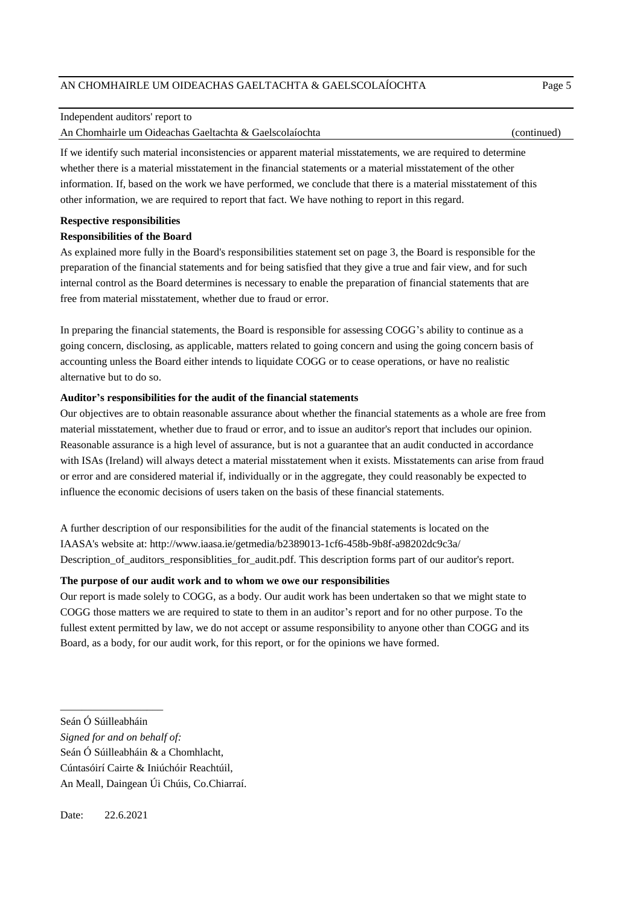#### Independent auditors' report to

An Chomhairle um Oideachas Gaeltachta & Gaelscolaíochta (continued)

If we identify such material inconsistencies or apparent material misstatements, we are required to determine whether there is a material misstatement in the financial statements or a material misstatement of the other information. If, based on the work we have performed, we conclude that there is a material misstatement of this other information, we are required to report that fact. We have nothing to report in this regard.

#### **Respective responsibilities**

## **Responsibilities of the Board**

As explained more fully in the Board's responsibilities statement set on page 3, the Board is responsible for the preparation of the financial statements and for being satisfied that they give a true and fair view, and for such internal control as the Board determines is necessary to enable the preparation of financial statements that are free from material misstatement, whether due to fraud or error.

In preparing the financial statements, the Board is responsible for assessing COGG's ability to continue as a going concern, disclosing, as applicable, matters related to going concern and using the going concern basis of accounting unless the Board either intends to liquidate COGG or to cease operations, or have no realistic alternative but to do so.

## **Auditor's responsibilities for the audit of the financial statements**

Our objectives are to obtain reasonable assurance about whether the financial statements as a whole are free from material misstatement, whether due to fraud or error, and to issue an auditor's report that includes our opinion. Reasonable assurance is a high level of assurance, but is not a guarantee that an audit conducted in accordance with ISAs (Ireland) will always detect a material misstatement when it exists. Misstatements can arise from fraud or error and are considered material if, individually or in the aggregate, they could reasonably be expected to influence the economic decisions of users taken on the basis of these financial statements.

A further description of our responsibilities for the audit of the financial statements is located on the IAASA's website at: http://www.iaasa.ie/getmedia/b2389013-1cf6-458b-9b8f-a98202dc9c3a/ Description\_of\_auditors\_responsiblities\_for\_audit.pdf. This description forms part of our auditor's report.

## **The purpose of our audit work and to whom we owe our responsibilities**

Our report is made solely to COGG, as a body. Our audit work has been undertaken so that we might state to COGG those matters we are required to state to them in an auditor's report and for no other purpose. To the fullest extent permitted by law, we do not accept or assume responsibility to anyone other than COGG and its Board, as a body, for our audit work, for this report, or for the opinions we have formed.

\_\_\_\_\_\_\_\_\_\_\_\_\_\_\_\_\_\_\_

- *Signed for and on behalf of:*
- Seán Ó Súilleabháin & a Chomhlacht,

Seán Ó Súilleabháin

Cúntasóirí Cairte & Iniúchóir Reachtúil,

An Meall, Daingean Úi Chúis, Co.Chiarraí.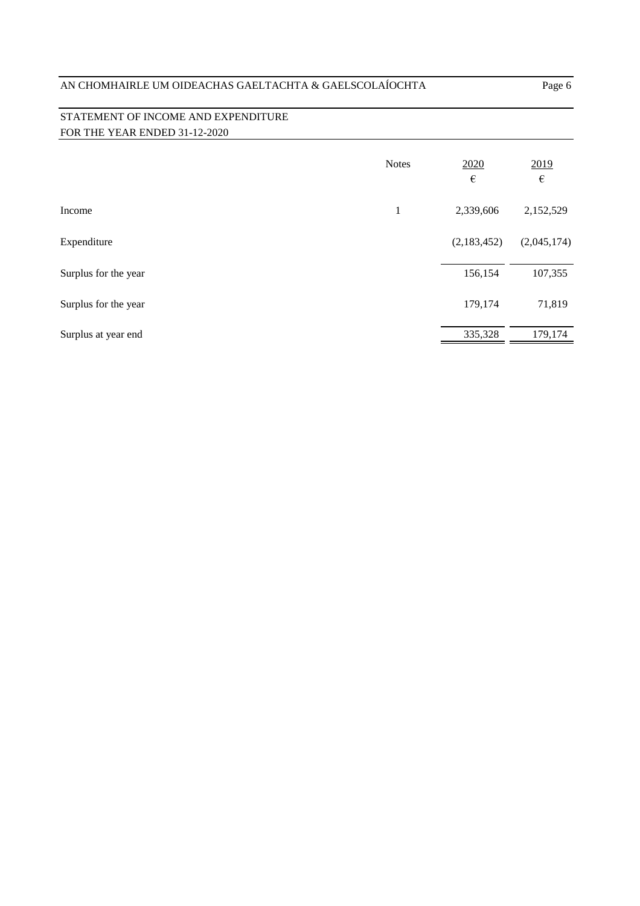# STATEMENT OF INCOME AND EXPENDITURE FOR THE YEAR ENDED 31-12-2020

|                      | <b>Notes</b> | 2020<br>$\epsilon$ | 2019<br>$\epsilon$ |
|----------------------|--------------|--------------------|--------------------|
| Income               | $\mathbf{1}$ | 2,339,606          | 2,152,529          |
| Expenditure          |              | (2,183,452)        | (2,045,174)        |
| Surplus for the year |              | 156,154            | 107,355            |
| Surplus for the year |              | 179,174            | 71,819             |
| Surplus at year end  |              | 335,328            | 179,174            |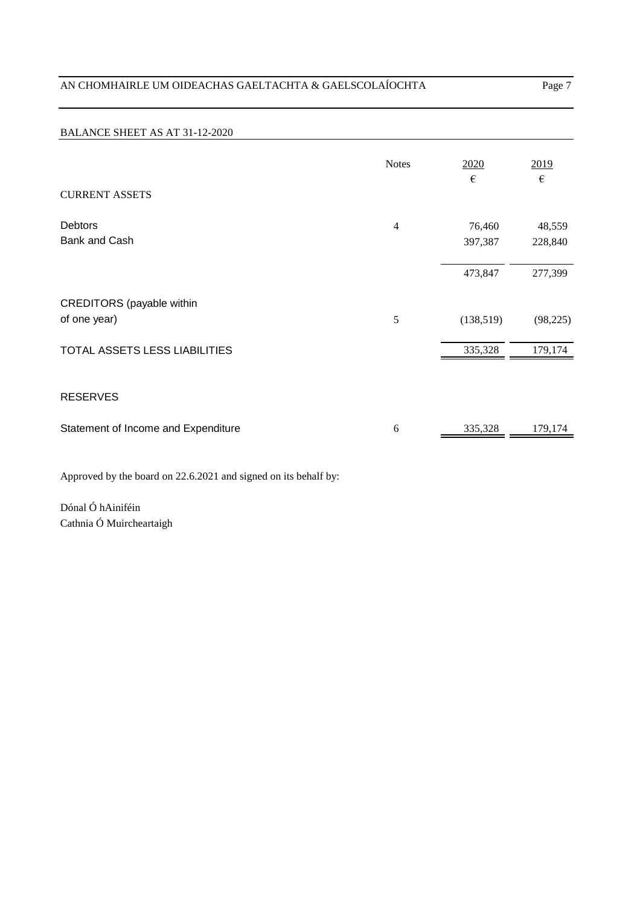# BALANCE SHEET AS AT 31-12-2020

|                                                  | <b>Notes</b>   | 2020<br>€         | 2019<br>€         |
|--------------------------------------------------|----------------|-------------------|-------------------|
| <b>CURRENT ASSETS</b>                            |                |                   |                   |
| <b>Debtors</b><br><b>Bank and Cash</b>           | $\overline{4}$ | 76,460<br>397,387 | 48,559<br>228,840 |
|                                                  |                | 473,847           | 277,399           |
| <b>CREDITORS</b> (payable within<br>of one year) | 5              | (138,519)         | (98, 225)         |
| TOTAL ASSETS LESS LIABILITIES                    |                | 335,328           | 179,174           |
| <b>RESERVES</b>                                  |                |                   |                   |
| Statement of Income and Expenditure              | 6              | 335,328           | 179,174           |

Approved by the board on 22.6.2021 and signed on its behalf by:

Dónal Ó hAiniféin Cathnia Ó Muircheartaigh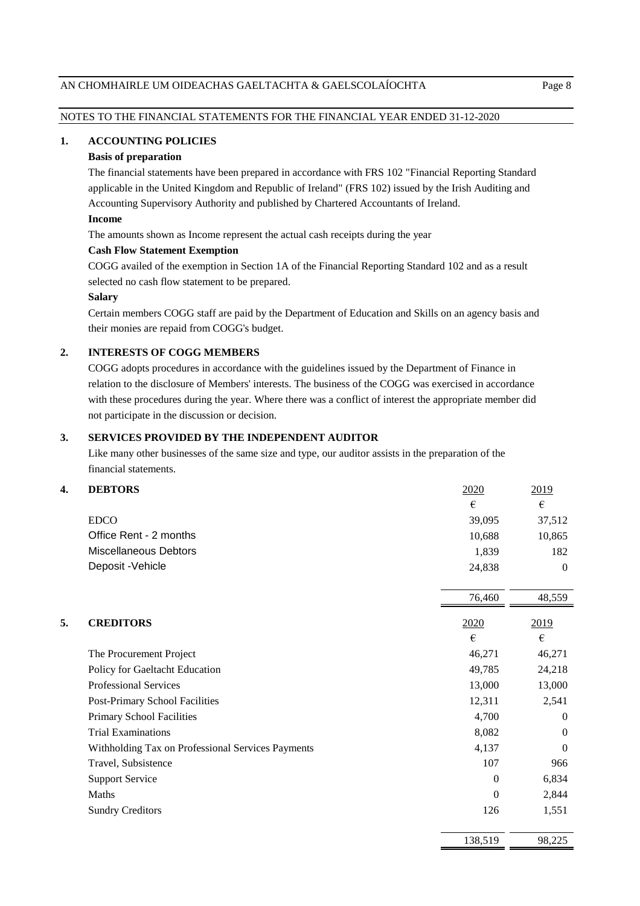# NOTES TO THE FINANCIAL STATEMENTS FOR THE FINANCIAL YEAR ENDED 31-12-2020

## **1. ACCOUNTING POLICIES**

## **Basis of preparation**

The financial statements have been prepared in accordance with FRS 102 "Financial Reporting Standard applicable in the United Kingdom and Republic of Ireland" (FRS 102) issued by the Irish Auditing and Accounting Supervisory Authority and published by Chartered Accountants of Ireland.

## **Income**

The amounts shown as Income represent the actual cash receipts during the year

#### **Cash Flow Statement Exemption**

COGG availed of the exemption in Section 1A of the Financial Reporting Standard 102 and as a result selected no cash flow statement to be prepared.

#### **Salary**

Certain members COGG staff are paid by the Department of Education and Skills on an agency basis and their monies are repaid from COGG's budget.

## **2. INTERESTS OF COGG MEMBERS**

COGG adopts procedures in accordance with the guidelines issued by the Department of Finance in relation to the disclosure of Members' interests. The business of the COGG was exercised in accordance with these procedures during the year. Where there was a conflict of interest the appropriate member did not participate in the discussion or decision.

## **3. SERVICES PROVIDED BY THE INDEPENDENT AUDITOR**

Like many other businesses of the same size and type, our auditor assists in the preparation of the financial statements.

#### **4. DEBTORS** 2020 2019

|                        | €      | €        |
|------------------------|--------|----------|
| <b>EDCO</b>            | 39,095 | 37,512   |
| Office Rent - 2 months | 10.688 | 10,865   |
| Miscellaneous Debtors  | 1.839  | 182      |
| Deposit - Vehicle      | 24.838 | $\Omega$ |

|    |                                                   | 76,460   | 48,559   |
|----|---------------------------------------------------|----------|----------|
| 5. | <b>CREDITORS</b>                                  | 2020     | 2019     |
|    |                                                   | €        | €        |
|    | The Procurement Project                           | 46,271   | 46,271   |
|    | Policy for Gaeltacht Education                    | 49,785   | 24,218   |
|    | <b>Professional Services</b>                      | 13,000   | 13,000   |
|    | Post-Primary School Facilities                    | 12,311   | 2,541    |
|    | <b>Primary School Facilities</b>                  | 4,700    | $\theta$ |
|    | <b>Trial Examinations</b>                         | 8,082    | $\theta$ |
|    | Withholding Tax on Professional Services Payments | 4,137    | $\theta$ |
|    | Travel, Subsistence                               | 107      | 966      |
|    | <b>Support Service</b>                            | $\Omega$ | 6,834    |
|    | Maths                                             | $\Omega$ | 2,844    |
|    | <b>Sundry Creditors</b>                           | 126      | 1,551    |
|    |                                                   | 138,519  | 98,225   |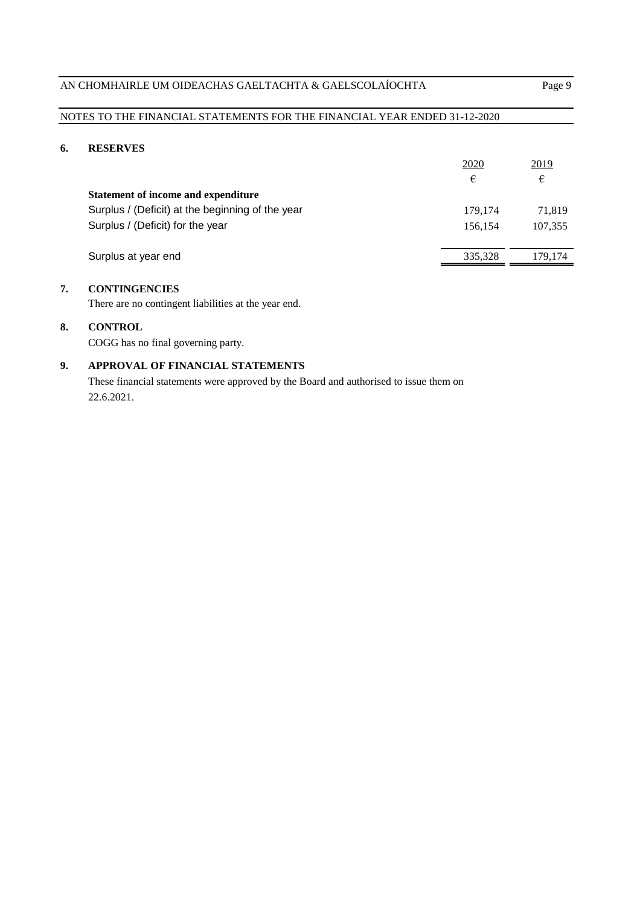# NOTES TO THE FINANCIAL STATEMENTS FOR THE FINANCIAL YEAR ENDED 31-12-2020

# **6. RESERVES**

|                                                  | 2020    | <u>2019</u> |
|--------------------------------------------------|---------|-------------|
|                                                  | €       | €           |
| Statement of income and expenditure              |         |             |
| Surplus / (Deficit) at the beginning of the year | 179.174 | 71.819      |
| Surplus / (Deficit) for the year                 | 156.154 | 107,355     |
|                                                  |         |             |
| Surplus at year end                              | 335,328 | 179.174     |

# **7. CONTINGENCIES**

There are no contingent liabilities at the year end.

# **8. CONTROL**

COGG has no final governing party.

# **9. APPROVAL OF FINANCIAL STATEMENTS**

These financial statements were approved by the Board and authorised to issue them on 22.6.2021.